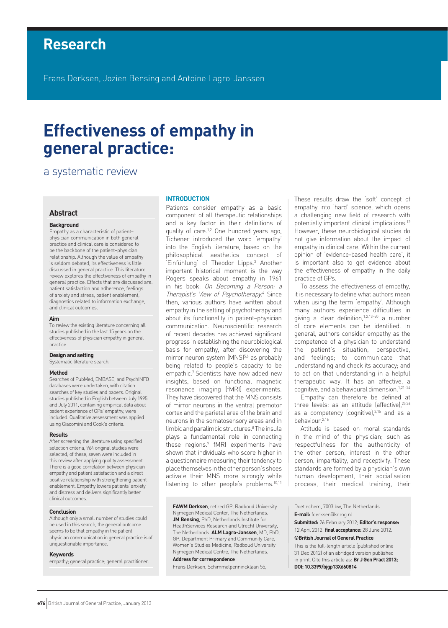# **Research**

Frans Derksen, Jozien Bensing and Antoine Lagro-Janssen

# **Effectiveness of empathy in general practice:**

a systematic review

## **Abstract**

#### **Background**

Empathy as a characteristic of patient– physician communication in both general practice and clinical care is considered to be the backbone of the patient–physician relationship. Although the value of empathy is seldom debated, its effectiveness is little discussed in general practice. This literature review explores the effectiveness of empathy in general practice. Effects that are discussed are: patient satisfaction and adherence, feelings of anxiety and stress, patient enablement, diagnostics related to information exchange, and clinical outcomes.

#### **Aim**

To review the existing literature concerning all studies published in the last 15 years on the effectiveness of physician empathy in general practice.

#### **Design and setting**

Systematic literature search.

#### **Method**

Searches of PubMed, EMBASE, and PsychINFO databases were undertaken, with citation searches of key studies and papers. Original studies published in English between July 1995 and July 2011, containing empirical data about patient experience of GPs' empathy, were included. Qualitative assessment was applied using Giacomini and Cook's criteria.

#### **Results**

After screening the literature using specified selection criteria, 964 original studies were selected; of these, seven were included in this review after applying quality assessment. There is a good correlation between physician empathy and patient satisfaction and a direct positive relationship with strengthening patient enablement. Empathy lowers patients' anxiety and distress and delivers significantly better clinical outcomes.

#### **Conclusion**

Although only a small number of studies could be used in this search, the general outcome seems to be that empathy in the patient– physician communication in general practice is of unquestionable importance.

#### **Keywords**

empathy; general practice; general practitioner.

#### **INTRODUCTION**

Patients consider empathy as a basic component of all therapeutic relationships and a key factor in their definitions of quality of care.<sup>1,2</sup> One hundred years ago, Tichener introduced the word 'empathy' into the English literature, based on the philosophical aesthetics concept of 'Einfühlung' of Theodor Lipps.3 Another important historical moment is the way Rogers speaks about empathy in 1961 in his book: On Becoming a Person: a Therapist's View of Psychotherapy. <sup>4</sup> Since then, various authors have written about empathy in the setting of psychotherapy and about its functionality in patient–physician communication. Neuroscientific research of recent decades has achieved significant progress in establishing the neurobiological basis for empathy, after discovering the mirror neuron system (MNS)<sup>5,6</sup> as probably being related to people's capacity to be empathic.7 Scientists have now added new insights, based on functional magnetic resonance imaging (fMRI) experiments. They have discovered that the MNS consists of mirror neurons in the ventral premotor cortex and the parietal area of the brain and neurons in the somatosensory areas and in limbic and paralimbic structures.8 The insula plays a fundamental role in connecting these regions.<sup>9</sup> fMRI experiments have shown that individuals who score higher in a questionnaire measuring their tendency to place themselves in the other person's shoes activate their MNS more strongly while listening to other people's problems.<sup>10,11</sup>

**FAWM Derksen**, retired GP, Radboud University Nijmegen Medical Center, The Netherlands. **JM Bensing**, PhD, Netherlands Institute for HealthServices Research and Utrecht University, The Netherlands. **ALM Lagro-Janssen**, MD, PhD, GP, Department Primary and Community Care, Women's Studies Medicine, Radboud University Nijmegen Medical Centre, The Netherlands.

#### **Address for correspondence**

Frans Derksen, Schimmelpennincklaan 55,

These results draw the 'soft' concept of empathy into 'hard' science, which opens a challenging new field of research with potentially important clinical implications.12 However, these neurobiological studies do not give information about the impact of empathy in clinical care. Within the current opinion of 'evidence-based health care', it is important also to get evidence about the effectiveness of empathy in the daily practice of GPs.

To assess the effectiveness of empathy, it is necessary to define what authors mean when using the term 'empathy'. Although many authors experience difficulties in giving a clear definition,1,2,13–20 a number of core elements can be identified. In general, authors consider empathy as the competence of a physician to understand the patient's situation, perspective, and feelings; to communicate that understanding and check its accuracy; and to act on that understanding in a helpful therapeutic way. It has an affective, a cognitive, and a behavioural dimension.1,21–24

Empathy can therefore be defined at three levels: as an attitude (affective), 25,26 as a competency (cognitive),<sup>2,15</sup> and as a behaviour.<sup>2,16</sup>

Attitude is based on moral standards in the mind of the physician; such as respectfulness for the authenticity of the other person, interest in the other person, impartiality, and receptivity. These standards are formed by a physician's own human development, their socialisation process, their medical training, their

Doetinchem, 7003 bw, The Netherlands **E-mail:** fderksen@knmg.nl **Submitted:** 26 February 2012; **Editor's response:**

12 April 2012; **final acceptance:** 28 June 2012. **©British Journal of General Practice**

This is the full-length article (published online 31 Dec 2012) of an abridged version published in print. Cite this article as: **Br J Gen Pract 2013; DOI: 10.3399/bjgp13X660814**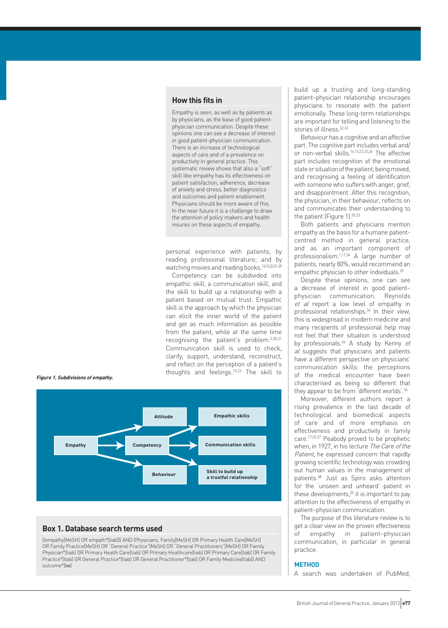## **How this fits in**

Empathy is seen, as well as by patients as by physicians, as the base of good patientphysician communication. Despite these opinions one can see a decrease of interest in good patient-physician communication. There is an increase of technological aspects of care and of a prevalence on productivity in general practice. This systematic review shows that also a "soft" skill like empathy has its effectiveness on patient satisfaction, adherence, decrease of anxiety and stress, better diagnostics and outcomes and patient enablement. Physicians should be more aware of this. In the near future it is a challenge to draw the attention of policy makers and health insures on these aspects of empathy.

personal experience with patients; by reading professional literature; and by watching movies and reading books.<sup>13,15,22,27-29</sup>

Competency can be subdivided into empathic skill, a communication skill, and the skill to build up a relationship with a patient based on mutual trust. Empathic skill is the approach by which the physician can elicit the inner world of the patient and get as much information as possible from the patient, while at the same time recognising the patient's problem.2,30,31 Communication skill is used to check, clarify, support, understand, reconstruct, and reflect on the perception of a patient's thoughts and feelings.15,23 The skill to





## **Box 1. Database search terms used**

((empathy[MeSH] OR empath\*[tiab])) AND (Physicians, Family[MeSH] OR Primary Health Care[MeSH] OR Family Practice[MeSH] OR "General Practice"[MeSH] OR "General Practitioners"[MeSH] OR Family Physician\*[tiab] OR Primary Health Care[tiab] OR Primary Healthcare[tiab] OR Primary Care[tiab] OR Family Practice\*[tiab] OR General Practice\*[tiab] OR General Practitioner\*[tiab] OR Family Medicine[tiab]) AND outcome\*[tw]

build up a trusting and long-standing patient–physician relationship encourages physicians to resonate with the patient emotionally. These long-term relationships are important for telling and listening to the stories of illness.32,33

Behaviour has a cognitive and an affective part. The cognitive part includes verbal and/ or non-verbal skills.14,15,22,25,26 The affective part includes recognition of the emotional state or situation of the patient, being moved, and recognising a feeling of identification with someone who suffers with anger, grief, and disappointment. After this recognition, the physician, in their behaviour, reflects on and communicates their understanding to the patient (Figure 1).<sup>20,23</sup>

Both patients and physicians mention empathy as the basis for a humane patientcentred method in general practice, and as an important component of professionalism.1,17,34 A large number of patients, nearly 80%, would recommend an empathic physician to other individuals.<sup>35</sup>

Despite these opinions, one can see a decrease of interest in good patient– physician communication. Reynolds et al report a low level of empathy in professional relationships.<sup>34</sup> In their view, this is widespread in modern medicine and many recipients of professional help may not feel that their situation is understood by professionals. $34$  A study by Kenny et al suggests that physicians and patients have a different perspective on physicians' communication skills: the perceptions of the medical encounter have been characterised as being so different that they appear to be from 'different worlds'.36

Moreover, different authors report a rising prevalence in the last decade of technological and biomedical aspects of care and of more emphasis on effectiveness and productivity in family care.17,20,37 Peabody proved to be prophetic when, in 1927, in his lecture The Care of the Patient, he expressed concern that rapidly growing scientific technology was crowding out human values in the management of patients.38 Just as Spiro asks attention for the 'unseen and unheard' patient in these developments, $20$  it is important to pay attention to the effectiveness of empathy in patient–physician communication.

The purpose of this literature review is to get a clear view on the proven effectiveness of empathy in patient–physician communication, in particular in general practice.

#### **METHOD**

A search was undertaken of PubMed,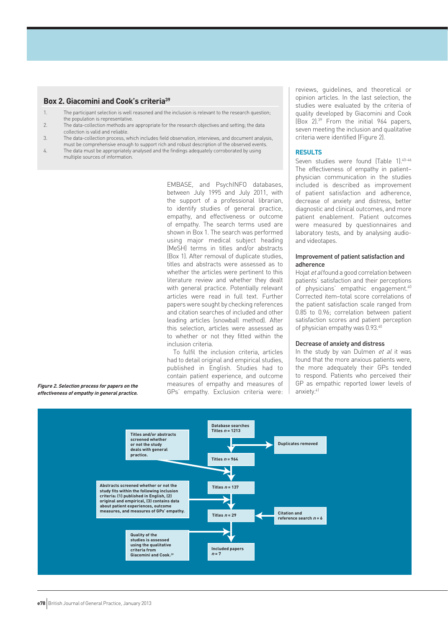## **Box 2. Giacomini and Cook's criteria39**

- 1. The participant selection is well reasoned and the inclusion is relevant to the research question; the population is representative.
- 2. The data-collection methods are appropriate for the research objectives and setting; the data collection is valid and reliable.
- 3. The data-collection process, which includes field observation, interviews, and document analysis,
- must be comprehensive enough to support rich and robust description of the observed events. 4. The data must be appropriately analysed and the findings adequately corroborated by using
- multiple sources of information.

EMBASE, and PsychINFO databases, between July 1995 and July 2011, with the support of a professional librarian, to identify studies of general practice, empathy, and effectiveness or outcome of empathy. The search terms used are shown in Box 1. The search was performed using major medical subject heading (MeSH) terms in titles and/or abstracts (Box 1). After removal of duplicate studies, titles and abstracts were assessed as to whether the articles were pertinent to this literature review and whether they dealt with general practice. Potentially relevant articles were read in full text. Further papers were sought by checking references and citation searches of included and other leading articles (snowball method). After this selection, articles were assessed as to whether or not they fitted within the inclusion criteria.

To fulfil the inclusion criteria, articles had to detail original and empirical studies, published in English. Studies had to contain patient experience, and outcome measures of empathy and measures of GPs' empathy. Exclusion criteria were:

reviews, guidelines, and theoretical or opinion articles. In the last selection, the studies were evaluated by the criteria of quality developed by Giacomini and Cook (Box 2).39 From the initial 964 papers, seven meeting the inclusion and qualitative criteria were identified (Figure 2).

## **RESULTS**

Seven studies were found (Table 1). 40-46 The effectiveness of empathy in patient– physician communication in the studies included is described as improvement of patient satisfaction and adherence, decrease of anxiety and distress, better diagnostic and clinical outcomes, and more patient enablement. Patient outcomes were measured by questionnaires and laboratory tests, and by analysing audioand videotapes.

## Improvement of patient satisfaction and adherence

Hojat et al found a good correlation between patients' satisfaction and their perceptions of physicians' empathic engagement.<sup>40</sup> Corrected item–total score correlations of the patient satisfaction scale ranged from 0.85 to 0.96; correlation between patient satisfaction scores and patient perception of physician empathy was 0.93.40

#### Decrease of anxiety and distress

In the study by van Dulmen et al it was found that the more anxious patients were, the more adequately their GPs tended to respond. Patients who perceived their GP as empathic reported lower levels of anxiety.<sup>41</sup>



**Figure 2. Selection process for papers on the effectiveness of empathy in general practice.**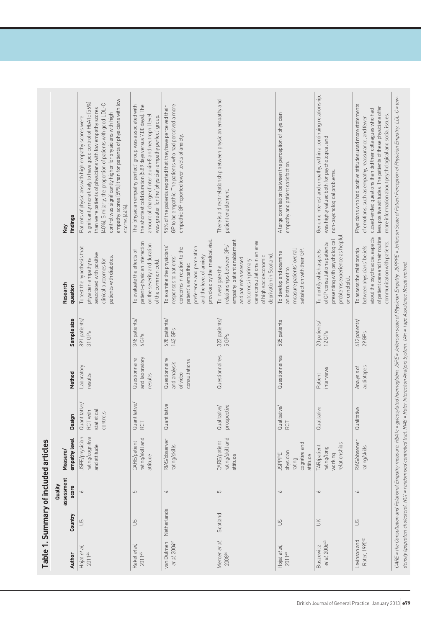|                                           |                |                                | Table 1. Summary of included articles                                      |                                                                          |                                                            |                                      |                                                                                                                                                                                                                     |                                                                                                                                                                                                                                                                                                                                                                                                  |
|-------------------------------------------|----------------|--------------------------------|----------------------------------------------------------------------------|--------------------------------------------------------------------------|------------------------------------------------------------|--------------------------------------|---------------------------------------------------------------------------------------------------------------------------------------------------------------------------------------------------------------------|--------------------------------------------------------------------------------------------------------------------------------------------------------------------------------------------------------------------------------------------------------------------------------------------------------------------------------------------------------------------------------------------------|
| Author                                    | Country        | assessment<br>Quality<br>score | empathy level<br>Measure/                                                  | Design                                                                   | Method                                                     | Sample size                          | Research<br>question                                                                                                                                                                                                | findings<br>Key                                                                                                                                                                                                                                                                                                                                                                                  |
| Hojat et al,<br>$2011^{44}$               | $\mathbb{S}$   | $\sim$                         | rating/cognitive<br>JSPE/physician<br>and attitude                         | Quantitative<br>statistical<br>RCT with<br>$\overline{\omega}$<br>contro | Laboratory<br>results                                      | 891 patients/<br>$31$ GPs            | To test the hypothesis that<br>associated with positive<br>patients with diabetes.<br>clinical outcomes for<br>physician empathy is                                                                                 | empathy scores (59%) than for patients of physicians with low<br>significantly more likely to have good control of HbA1c [56%]<br>(40%). Similarly, the proportion of patients with good LDL-C<br>than were patients of physicians with low empathy scores<br>control was significantly higher for physicians with high<br>Patients of physicians with high empathy scores were<br>scores (44%). |
| Rakel et al,<br>$2011^{45}$               | $\cup$         | $\Box$                         | rating/skill and<br>CARE/patient<br>attitude                               | itative/<br>Quantii<br>RCT                                               | and laboratory<br>Questionnaire<br>results                 | 348 patients/<br>$6$ GPs             | patient-physician interaction<br>on the severity and duration<br>To evaluate the effects of<br>of the common cold.                                                                                                  | the shortest cold duration (5.89 days versus 7.00 days). The<br>The 'physician empathy perfect' group was associated with<br>amount of change of interleukin-8 and neutrophil level<br>was greater for the 'physician empathy perfect' group.                                                                                                                                                    |
| et al, 200441<br>van Dulmen               | Netherlands    | $\overline{\phantom{a}}$       | RIAS/observer<br>rating/skills                                             | itative<br>Quanti                                                        | Questionnaire<br>consultations<br>and analysis<br>of video | 698 patients/<br>142 GP <sub>S</sub> | provoked by the medical visit.<br>To examine the physicians<br>preference and perception<br>concerns in relation to the<br>and the level of anxiety<br>responses to patients'<br>patient's empathic                 | GP to be empathic. The patients who had perceived a more<br>95% of the patients reported that they have perceived their<br>empathic GP reported lower levels of anxiety.                                                                                                                                                                                                                         |
| Mercer et al,<br>$2008^{46}$              | Scotland       | 5                              | rating/skill and<br>CARE/patient<br>attitude                               | prospective<br>Qualitative/                                              | Questionnaires                                             | 323 patients/<br>5 GPs               | empathy, patient enablement<br>care consultations in an area<br>relationships between GPs'<br>deprivation in Scotland<br>of high socioeconomic<br>and patient-assessed<br>outcomes in primary<br>To investigate the | There is a direct relationship between physician empathy and<br>patient enablement.                                                                                                                                                                                                                                                                                                              |
| Hojat et al.<br>201140                    | $\mathfrak{S}$ | $\sim$                         | cognitive and<br>physician<br><b>JSPPPE</b><br>attitude<br>rating          | Qualitative/<br>RCT                                                      | Questionnaires                                             | 535 patients                         | measure patients' overall<br>satisfaction with their GP<br>To develop and examine<br>an instrument to                                                                                                               | A large correlation between the perception of physician<br>empathy and patient satisfaction.                                                                                                                                                                                                                                                                                                     |
| et al, 200643<br><b>Buszewicz</b>         | $\leq$         | $\sim$                         | relationships<br>TAR/patient<br>rating/long<br>working                     | Qualitative                                                              | interviews<br>Patient                                      | 20 patients/<br>12 GPs               | problems experience as helpful<br>presenting with psychological<br>of GP consultations patients<br>To identify which aspects<br>or unhelpful.                                                                       | Genuine interest and empathy, within a continuing relationship,<br>was highly valued both for psychological and<br>non-psychological problems.                                                                                                                                                                                                                                                   |
| Roter, 1995 <sup>42</sup><br>Levinson and | S              | $\sim$                         | RIAS/observer<br>rating/skills                                             | Qualitative                                                              | audiotapes<br>Analysis of                                  | 412 patients/<br>$29$ GPs            | of patient care and their routine<br>about the psychosocial aspects<br>communication with patients.<br>between physicians' beliefs<br>To assess the relationship                                                    | Physicians who had positive attitudes used more statements<br>less positive attitudes. The patients of these physicians offer<br>closed-ended questions than did their colleagues who had<br>more information about psychological and social issues.<br>of emotions, such as empathy, reassurance, and fewer                                                                                     |
|                                           |                |                                | density lipoprotein cholesterol. RCT = randomised controlled trial. RIAS = |                                                                          |                                                            |                                      | Roter Interaction Analysis System. TAR = Tape Assistance Recall method.                                                                                                                                             | CARE = the Consultation and Relational Empathy measure. HbA1c = pylcosylated haemoglobin. JSPE = Jeffersan Empathy. JSPPPE = Jefferson Scale of Patient Perception of Physician Empathy. LDL-C = low-                                                                                                                                                                                            |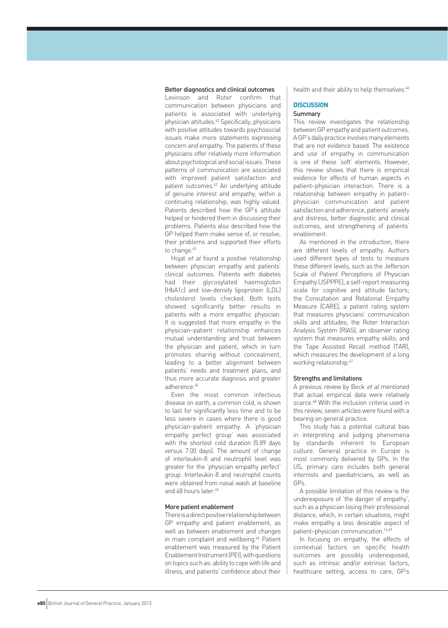#### Better diagnostics and clinical outcomes

Levinson and Roter confirm that communication between physicians and patients is associated with underlying physician attitudes.42 Specifically, physicians with positive attitudes towards psychosocial issues make more statements expressing concern and empathy. The patients of these physicians offer relatively more information about psychological and social issues. These patterns of communication are associated with improved patient satisfaction and patient outcomes.<sup>42</sup> An underlying attitude of genuine interest and empathy, within a continuing relationship, was highly valued. Patients described how the GP's attitude helped or hindered them in discussing their problems. Patients also described how the GP helped them make sense of, or resolve, their problems and supported their efforts to change.<sup>43</sup>

Hojat et al found a positive relationship between physician empathy and patients' clinical outcomes. Patients with diabetes had their glycosylated haemoglobin (HbA1c) and low-density lipoprotein (LDL) cholesterol levels checked. Both tests showed significantly better results in patients with a more empathic physician. It is suggested that more empathy in the physician–patient relationship enhances mutual understanding and trust between the physician and patient, which in turn promotes sharing without concealment, leading to a better alignment between patients' needs and treatment plans, and thus more accurate diagnosis and greater adherence<sup>44</sup>

Even the most common infectious disease on earth, a common cold, is shown to last for significantly less time and to be less severe in cases where there is good physician–patient empathy. A 'physician empathy perfect group' was associated with the shortest cold duration (5.89 days versus 7.00 days). The amount of change of interleukin-8 and neutrophil level was greater for the 'physician empathy perfect' group. Interleukin-8 and neutrophil counts were obtained from nasal wash at baseline and  $48$  hours later.<sup>45</sup>

### More patient enablement

There is a direct positive relationship between GP empathy and patient enablement, as well as between enablement and changes in main complaint and wellbeing.<sup>46</sup> Patient enablement was measured by the Patient Enablement Instrument (PEI), with questions on topics such as: ability to cope with life and illness, and patients' confidence about their

health and their ability to help themselves.<sup>46</sup>

## **DISCUSSION**

#### Summary

This review investigates the relationship between GP empathy and patient outcomes. A GP's daily practice involves many elements that are not evidence based. The existence and use of empathy in communication is one of these 'soft' elements. However, this review shows that there is empirical evidence for effects of human aspects in patient–physician interaction. There is a relationship between empathy in patient– physician communication and patient satisfaction and adherence, patients' anxiety and distress, better diagnostic and clinical outcomes, and strengthening of patients' enablement.

As mentioned in the introduction, there are different levels of empathy. Authors used different types of tests to measure these different levels, such as the Jefferson Scale of Patient Perceptions of Physician Empathy (JSPPPE), a self-report measuring scale for cognitive and attitude factors; the Consultation and Relational Empathy Measure (CARE), a patient rating system that measures physicians' communication skills and attitudes; the Roter Interaction Analysis System (RIAS), an observer rating system that measures empathy skills; and the Tape Assisted Recall method (TAR), which measures the development of a long working relationship.47

### Strengths and limitations

A previous review by Beck et al mentioned that actual empirical data were relatively scarce.48 With the inclusion criteria used in this review, seven articles were found with a bearing on general practice.

This study has a potential cultural bias in interpreting and judging phenomena by standards inherent to European culture. General practice in Europe is most commonly delivered by GPs. In the US, primary care includes both general internists and paediatricians, as well as GPs.

A possible limitation of this review is the underexposure of 'the danger of empathy', such as a physician losing their professional distance, which, in certain situations, might make empathy a less desirable aspect of patient–physician communication.16,49

In focusing on empathy, the effects of contextual factors on specific health outcomes are possibly underexposed, such as intrinsic and/or extrinsic factors, healthcare setting, access to care, GP's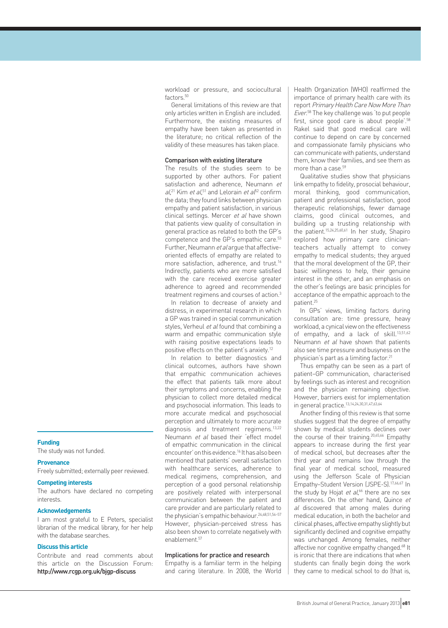workload or pressure, and sociocultural factors.<sup>50</sup>

General limitations of this review are that only articles written in English are included. Furthermore, the existing measures of empathy have been taken as presented in the literature; no critical reflection of the validity of these measures has taken place.

#### Comparison with existing literature

The results of the studies seem to be supported by other authors. For patient satisfaction and adherence, Neumann et  $al^{21}$  Kim et al,<sup>51</sup> and Lelorain et al<sup>52</sup> confirm the data; they found links between physician empathy and patient satisfaction, in various clinical settings. Mercer et al have shown that patients view quality of consultation in general practice as related to both the GP's competence and the GP's empathic care.<sup>53</sup> Further, Neumann et al arque that affectiveoriented effects of empathy are related to more satisfaction, adherence, and trust.<sup>16</sup> Indirectly, patients who are more satisfied with the care received exercise greater adherence to agreed and recommended treatment regimens and courses of action.3

In relation to decrease of anxiety and distress, in experimental research in which a GP was trained in special communication styles, Verheul et al found that combining a warm and empathic communication style with raising positive expectations leads to positive effects on the patient's anxiety.12

In relation to better diagnostics and clinical outcomes, authors have shown that empathic communication achieves the effect that patients talk more about their symptoms and concerns, enabling the physician to collect more detailed medical and psychosocial information. This leads to more accurate medical and psychosocial perception and ultimately to more accurate diagnosis and treatment regimens.13,22 Neumann et al based their 'effect model of empathic communication in the clinical encounter' on this evidence.16 It has also been mentioned that patients' overall satisfaction with healthcare services, adherence to medical regimens, comprehension, and perception of a good personal relationship are positively related with interpersonal communication between the patient and care provider and are particularly related to the physician's empathic behaviour.<sup>24,48,51,54-57</sup> However, physician-perceived stress has also been shown to correlate negatively with enablement.<sup>57</sup>

### Implications for practice and research

Empathy is a familiar term in the helping and caring literature. In 2008, the World

Health Organization (WHO) reaffirmed the importance of primary health care with its report Primary Health Care Now More Than Ever. 58 The key challenge was 'to put people first, since good care is about people<sup>'.58</sup> Rakel said that good medical care will continue to depend on care by concerned and compassionate family physicians who can communicate with patients, understand them, know their families, and see them as more than a case  $59$ 

Qualitative studies show that physicians link empathy to fidelity, prosocial behaviour, moral thinking, good communication, patient and professional satisfaction, good therapeutic relationships, fewer damage claims, good clinical outcomes, and building up a trusting relationship with the patient.15,24,25,60,61 In her study, Shapiro explored how primary care clinicianteachers actually attempt to convey empathy to medical students; they argued that the moral development of the GP, their basic willingness to help, their genuine interest in the other, and an emphasis on the other's feelings are basic principles for acceptance of the empathic approach to the patient.25

In GPs' views, limiting factors during consultation are: time pressure, heavy workload, a cynical view on the effectiveness of empathy, and a lack of skill.<sup>13,51,62</sup> Neumann et al have shown that patients also see time pressure and busyness on the physician's part as a limiting factor.<sup>21</sup>

Thus empathy can be seen as a part of patient–GP communication, characterised by feelings such as interest and recognition and the physician remaining objective. However, barriers exist for implementation in general practice.13,14,24,30,31,47,63,64

Another finding of this review is that some studies suggest that the degree of empathy shown by medical students declines over the course of their training.20,65,66 Empathy appears to increase during the first year of medical school, but decreases after the third year and remains low through the final year of medical school, measured using the Jefferson Scale of Physician Empathy–Student Version (JSPE-S).17,66,67 In the study by Hojat et al,<sup>66</sup> there are no sex differences. On the other hand, Quince et al discovered that among males during medical education, in both the bachelor and clinical phases, affective empathy slightly but significantly declined and cognitive empathy was unchanged. Among females, neither affective nor cognitive empathy changed.<sup>68</sup> It is ironic that there are indications that when students can finally begin doing the work they came to medical school to do (that is,

## **Funding**

The study was not funded.

## **Provenance**

Freely submitted; externally peer reviewed.

## **Competing interests**

The authors have declared no competing *interests* 

#### **Acknowledgements**

I am most grateful to E Peters, specialist librarian of the medical library, for her help with the database searches.

## **Discuss this article**

Contribute and read comments about this article on the Discussion Forum: http://www.rcgp.org.uk/bjgp-discuss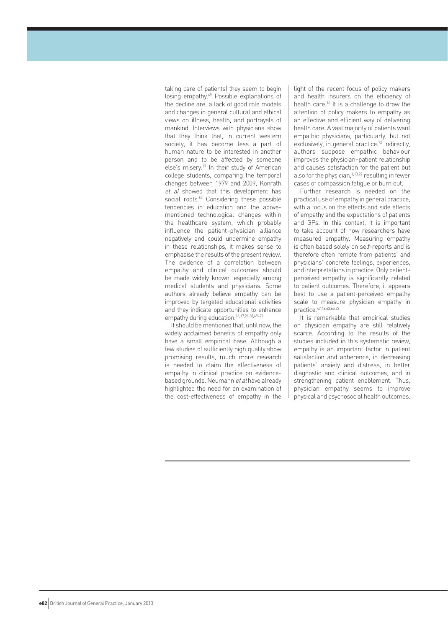taking care of patients) they seem to begin losing empathy.69 Possible explanations of the decline are: a lack of good role models and changes in general cultural and ethical views on illness, health, and portrayals of mankind. Interviews with physicians show that they think that, in current western society, it has become less a part of human nature to be interested in another person and to be affected by someone else's misery.<sup>17</sup> In their study of American college students, comparing the temporal changes between 1979 and 2009, Konrath et al showed that this development has social roots.<sup>65</sup> Considering these possible tendencies in education and the abovementioned technological changes within the healthcare system, which probably influence the patient–physician alliance negatively and could undermine empathy in these relationships, it makes sense to emphasise the results of the present review. The evidence of a correlation between empathy and clinical outcomes should be made widely known, especially among medical students and physicians. Some authors already believe empathy can be improved by targeted educational activities and they indicate opportunities to enhance empathy during education.<sup>16,17,26,38,69-71</sup>

It should be mentioned that, until now, the widely acclaimed benefits of empathy only have a small empirical base. Although a few studies of sufficiently high quality show promising results, much more research is needed to claim the effectiveness of empathy in clinical practice on evidencebased grounds. Neumann et al have already highlighted the need for an examination of the cost-effectiveness of empathy in the

light of the recent focus of policy makers and health insurers on the efficiency of health care.<sup>16</sup> It is a challenge to draw the attention of policy makers to empathy as an effective and efficient way of delivering health care. A vast majority of patients want empathic physicians, particularly, but not exclusively, in general practice.<sup>72</sup> Indirectly, authors suppose empathic behaviour improves the physician–patient relationship and causes satisfaction for the patient but also for the physician,<sup>1,13,22</sup> resulting in fewer cases of compassion fatigue or burn out.

Further research is needed on the practical use of empathy in general practice, with a focus on the effects and side effects of empathy and the expectations of patients and GPs. In this context, it is important to take account of how researchers have measured empathy. Measuring empathy is often based solely on self-reports and is therefore often remote from patients' and physicians' concrete feelings, experiences, and interpretations in practice. Only patientperceived empathy is significantly related to patient outcomes. Therefore, it appears best to use a patient-perceived empathy scale to measure physician empathy in practice.47,48,63,65,73

It is remarkable that empirical studies on physician empathy are still relatively scarce. According to the results of the studies included in this systematic review, empathy is an important factor in patient satisfaction and adherence, in decreasing patients' anxiety and distress, in better diagnostic and clinical outcomes, and in strengthening patient enablement. Thus, physician empathy seems to improve physical and psychosocial health outcomes.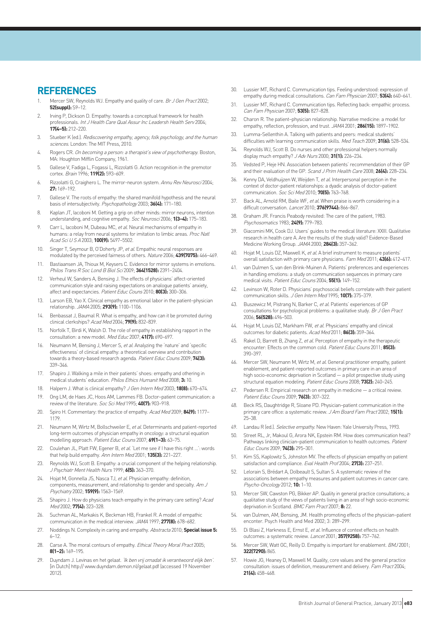# **REFERENCES**

- Mercer SW, Reynolds WJ. Empathy and quality of care. Br J Gen Pract 2002; **52(suppl):** S9–12.
- 2. Irving P, Dickson D. Empathy: towards a conceptual framework for health professionals. Int J Health Care Qual Assur Inc Leadersh Health Serv 2004; **17(4–5):** 212–220.
- 3. Stueber K (ed.). Rediscovering empathy, agency, folk psychology, and the human sciences. London: The MIT Press, 2010.
- 4. Rogers CR. On becoming a person: a therapist's view of psychotherapy. Boston, MA: Houghton Mifflin Company, 1961.
- 5. Gallese V, Fadiga L, Fogassi L, Rizzolatti G. Action recognition in the premotor cortex. Brain 1996; **119(2):** 593–609.
- 6. Rizzolatti G, Craighero L. The mirror-neuron system. Annu Rev Neurosci 2004; **27:** 169–192.
- 7. Gallese V. The roots of empathy: the shared manifold hypothesis and the neural basis of intersubjectivity. Psychopathology 2003; **36(4):** 171–180.
- 8. Kaplan JT, Iacoboni M. Getting a grip on other minds: mirror neurons, intention understanding, and cognitive empathy. Soc Neurosci 2006; **1(3–4):** 175–183.
- 9. Carr L, Iacoboni M, Dubeau MC, et al. Neural mechanisms of empathy in humans: a relay from neural systems for imitation to limbic areas. Proc Natl Acad Sci U S A 2003; **100(9):** 5497–5502.
- 10. Singer T, Seymour B, O'Doherty JP, et al. Empathic neural responses are modulated by the perceived fairness of others. Nature 2006; **439(7075):** 466–469.
- 11. Bastiaansen JA, Thioux M, Keysers C. Evidence for mirror systems in emotions. Philos Trans R Soc Lond B Biol Sci 2009; **364(1528):** 2391–2404.
- 12. Verheul W, Sanders A, Bensing J. The effects of physicians' affect-oriented communication style and raising expectations on analogue patients' anxiety, affect and expectancies. Patient Educ Couns 2010; **80(3):** 300–306.
- 13. Larson EB, Yao X. Clinical empathy as emotional labor in the patient–physician relationship. JAMA 2005; **293(9):** 1100–1106.
- 14. Benbassat J, Baumal R. What is empathy, and how can it be promoted during clinical clerkships? Acad Med 2004; **79(9):** 832–839.
- 15. Norfolk T, Birdi K, Walsh D. The role of empathy in establishing rapport in the consultation: a new model. Med Educ 2007; **41(7):** 690–697.
- 16. Neumann M, Bensing J, Mercer S, et al. Analyzing the 'nature' and 'specific effectiveness' of clinical empathy: a theoretical overview and contribution towards a theory-based research agenda. Patient Educ Couns 2009; **74(3):**  339–346.
- 17. Shapiro J. Walking a mile in their patients' shoes: empathy and othering in medical students' education. Philos Ethics Humanit Med 2008; **3:** 10.
- 18. Halpern J. What is clinical empathy? J Gen Intern Med 2003; **18(8):** 670–674.
- 19. Ong LM, de Haes JC, Hoos AM, Lammes FB. Doctor–patient communication: a review of the literature. Soc Sci Med 1995; **40(7):** 903–918.
- 20. Spiro H. Commentary: the practice of empathy. Acad Med 2009; **84(9):** 1177– 1179.
- 21. Neumann M, Wirtz M, Bollschweiler E, et al. Determinants and patient-reported long-term outcomes of physician empathy in oncology: a structural equation modelling approach. Patient Educ Couns 2007; **69(1–3):** 63–75.
- 22. Coulehan JL, Platt FW, Egener B, et al. 'Let me see if I have this right ...': words that help build empathy. Ann Intern Med 2001; **135(3):** 221–227.
- 23. Reynolds WJ, Scott B. Empathy: a crucial component of the helping relationship. J Psychiatr Ment Health Nurs 1999; **6(5):** 363–370.
- 24. Hojat M, Gonnella JS, Nasca TJ, et al. Physician empathy: definition, components, measurement, and relationship to gender and specialty. Am J Psychiatry 2002; **159(9):** 1563–1569.
- 25. Shapiro J. How do physicians teach empathy in the primary care setting? Acad Med 2002; **77(4):** 323–328.
- 26. Suchman AL, Markakis K, Beckman HB, Frankel R. A model of empathic communication in the medical interview. JAMA 1997; **277(8):** 678–682.
- 27. Noddings N. Complexity in caring and empathy. Abstracta 2010; **Special issue 5:**  6–12.
- 28. Carse A. The moral contours of empathy. Ethical Theory Moral Pract 2005: **8(1–2):** 169–195.
- 29. Duyndam J. Levinas en het gelaat. 'Ik ben vrij omadat ik verantwoord elijk ben'. [in Dutch] http:// www.duyndam.demon.nl/gelaat.pdf (accessed 19 November 2012).
- 30. Lussier MT, Richard C. Communication tips. Feeling understood: expression of empathy during medical consultations. Can Fam Physician 2007; **53(4):** 640–641.
- 31. Lussier MT, Richard C. Communication tips. Reflecting back: empathic process. Can Fam Physician 2007; **53(5):** 827–828.
- 32. Charon R. The patient–physician relationship. Narrative medicine: a model for empathy, reflection, profession, and trust. JAMA 2001; **286(15):** 1897–1902.
- 33. Lumma-Sellenthin A. Talking with patients and peers: medical students' difficulties with learning communication skills. Med Teach 2009; **31(6):** 528–534.
- 34. Reynolds WJ, Scott B. Do nurses and other professional helpers normally display much empathy? J Adv Nurs 2000; **31(1):** 226–234.
- 35. Vedsted P, Heje HN. Association between patients' recommendation of their GP and their evaluation of the GP. Scand J Prim Health Care 2008; **26(4):** 228–234.
- 36. Kenny DA, Veldhuijzen W, Weijden T, et al. Interpersonal perception in the context of doctor-patient relationships: a dyadic analysis of doctor–patient communication. Soc Sci Med 2010; **70(5):** 763–768.
- 37. Back AL, Arnold RM, Baile WF, et al. When praise is worth considering in a difficult conversation. Lancet 2010; **376(9744):** 866–867.
- 38. Graham JR. Francis Peabody revisited: The care of the patient, 1983. Psychosomatics 1983; **24(9):** 779–783.
- 39. Giacomini MK, Cook DJ. Users' guides to the medical literature: XXIII. Qualitative research in health care A. Are the results of the study valid? Evidence-Based Medicine Working Group. JAMA 2000; **284(3):** 357–362.
- 40. Hojat M, Louis DZ, Maxwell K, et al. A brief instrument to measure patients' overall satisfaction with primary care physicians. Fam Med 2011; **43(6):** 412–417.
- 41. van Dulmen S, van den Brink-Muinen A. Patients' preferences and experiences in handling emotions: a study on communication sequences in primary care medical visits. Patient Educ Couns 2004; **55(1):** 149–152.
- Levinson W, Roter D. Physicians' psychosocial beliefs correlate with their patient communication skills. J Gen Intern Med 1995; **10(7):** 375–379.
- 43. Buszewicz M, Pistrang N, Barker C, et al. Patients' experiences of GP consultations for psychological problems: a qualitative study. Br J Gen Pract 2006; **56(528):** 496–503.
- 44. Hojat M, Louis DZ, Markham FW, et al. Physicians' empathy and clinical outcomes for diabetic patients. Acad Med 2011; **86(3):** 359–364.
- 45. Rakel D, Barrett B, Zhang Z, et al. Perception of empathy in the therapeutic encounter: Effects on the common cold. Patient Educ Couns 2011; **85(3):**  390–397.
- 46. Mercer SW, Neumann M, Wirtz M, et al. General practitioner empathy, patient enablement, and patient-reported outcomes in primary care in an area of high socio-economic deprivation in Scotland — a pilot prospective study using structural equation modeling. Patient Educ Couns 2008; **73(2):** 240–245.
- 47. Pedersen R. Empirical research on empathy in medicine a critical review. Patient Educ Couns 2009; **76(3):** 307–322.
- 48. Beck RS, Daughtridge R, Sloane PD. Physician–patient communication in the primary care office: a systematic review. J Am Board Fam Pract 2002; **15(1):**  25–38.
- 49. Landau R (ed.). Selective empathy. New Haven: Yale University Press, 1993.
- 50. Street RL, Jr, Makoul G, Arora NK, Epstein RM. How does communication heal? Pathways linking clinician–patient communication to health outcomes. Patient Educ Couns 2009; **74(3):** 295–301.
- 51. Kim SS, Kaplowitz S, Johnston MV. The effects of physician empathy on patient satisfaction and compliance. Eval Health Prof 2004; **27(3):** 237–251.
- 52. Lelorain S, Brédart A, Dolbeault S, Sultan S. A systematic review of the associations between empathy measures and patient outcomes in cancer care. Psycho-Oncology 2012; **10:** 1–10.
- 53. Mercer SW, Cawston PG, Bikker AP. Quality in general practice consultations; a qualitative study of the views of patients living in an area of high socio-economic deprivation in Scotland. BMC Fam Pract 2007; **8:** 22.
- van Dulmen, AM, Bensing, JM. Health promoting effects of the physician-patient enconter. Psych Health and Med 2002; 3: 289–299.
- 55. Di Blasi Z, Harkness E, Ernst E, et al. Influence of context effects on health outcomes: a systematic review. Lancet 2001; **357(9258):** 757–762.
- 56. Mercer SW, Watt GC, Reilly D. Empathy is important for enablement. BMJ 2001; **322(7290):** 865.
- 57. Howie JG, Heaney D, Maxwell M. Quality, core values and the general practice consultation: issues of definition, measurement and delivery. Fam Pract 2004; **21(4):** 458–468.